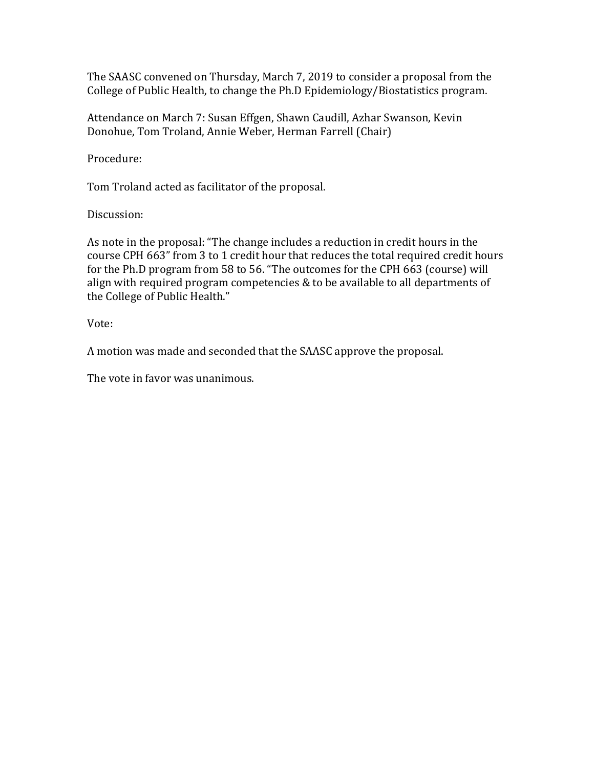The SAASC convened on Thursday, March 7, 2019 to consider a proposal from the College of Public Health, to change the Ph.D Epidemiology/Biostatistics program.

Attendance on March 7: Susan Effgen, Shawn Caudill, Azhar Swanson, Kevin Donohue, Tom Troland, Annie Weber, Herman Farrell (Chair)

Procedure:

Tom Troland acted as facilitator of the proposal.

Discussion:

As note in the proposal: "The change includes a reduction in credit hours in the course CPH 663" from 3 to 1 credit hour that reduces the total required credit hours for the Ph.D program from 58 to 56. "The outcomes for the CPH 663 (course) will align with required program competencies & to be available to all departments of the College of Public Health."

Vote:

A motion was made and seconded that the SAASC approve the proposal.

The vote in favor was unanimous.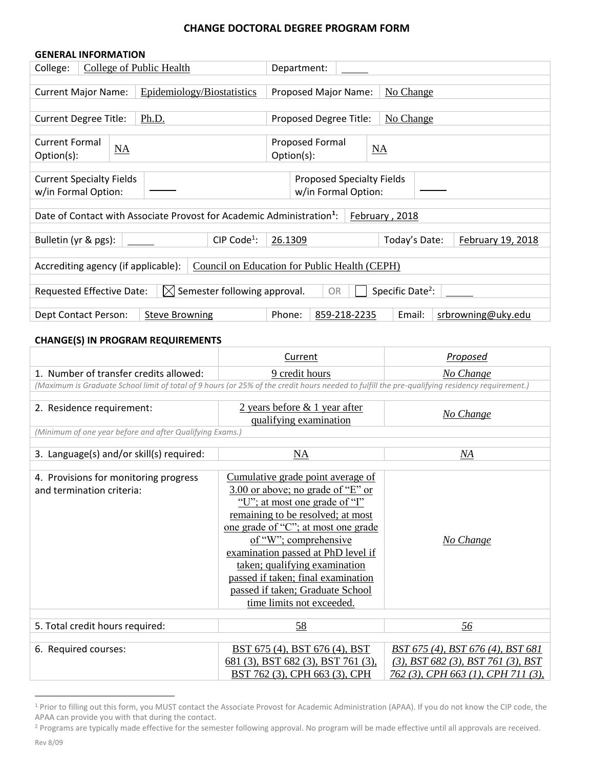#### **CHANGE DOCTORAL DEGREE PROGRAM FORM**

| <b>GENERAL INFORMATION</b>                                                                                  |                            |                                     |  |  |  |
|-------------------------------------------------------------------------------------------------------------|----------------------------|-------------------------------------|--|--|--|
| College:                                                                                                    | College of Public Health   | Department:                         |  |  |  |
|                                                                                                             |                            |                                     |  |  |  |
| <b>Current Major Name:</b>                                                                                  | Epidemiology/Biostatistics | Proposed Major Name:<br>No Change   |  |  |  |
|                                                                                                             |                            |                                     |  |  |  |
| <b>Current Degree Title:</b>                                                                                | <u>Ph.D.</u>               | Proposed Degree Title:<br>No Change |  |  |  |
| <b>Current Formal</b>                                                                                       |                            | Proposed Formal                     |  |  |  |
| NA<br>Option(s):                                                                                            |                            | NA<br>Option(s):                    |  |  |  |
|                                                                                                             |                            |                                     |  |  |  |
| <b>Current Specialty Fields</b>                                                                             |                            | Proposed Specialty Fields           |  |  |  |
| w/in Formal Option:                                                                                         |                            | w/in Formal Option:                 |  |  |  |
|                                                                                                             |                            |                                     |  |  |  |
| Date of Contact with Associate Provost for Academic Administration <sup>1</sup> :<br>February, 2018         |                            |                                     |  |  |  |
|                                                                                                             | CIP Code <sup>1</sup> :    | 26.1309<br>February 19, 2018        |  |  |  |
| Bulletin (yr & pgs):                                                                                        |                            | Today's Date:                       |  |  |  |
| Accrediting agency (if applicable):<br>Council on Education for Public Health (CEPH)                        |                            |                                     |  |  |  |
| Specific Date <sup>2</sup> :<br>$\boxtimes$ Semester following approval.<br>Requested Effective Date:<br>OR |                            |                                     |  |  |  |
|                                                                                                             |                            |                                     |  |  |  |
| Phone:<br><b>Steve Browning</b><br>859-218-2235<br>Email:<br>srbrowning@uky.edu<br>Dept Contact Person:     |                            |                                     |  |  |  |

#### **CHANGE(S) IN PROGRAM REQUIREMENTS**

|                                                                                                                                                | Current                                                                                                                                                                                                                                                                                                                                                                                    | Proposed                                    |  |  |  |
|------------------------------------------------------------------------------------------------------------------------------------------------|--------------------------------------------------------------------------------------------------------------------------------------------------------------------------------------------------------------------------------------------------------------------------------------------------------------------------------------------------------------------------------------------|---------------------------------------------|--|--|--|
| 1. Number of transfer credits allowed:                                                                                                         | 9 credit hours                                                                                                                                                                                                                                                                                                                                                                             | No Change                                   |  |  |  |
| (Maximum is Graduate School limit of total of 9 hours (or 25% of the credit hours needed to fulfill the pre-qualifying residency requirement.) |                                                                                                                                                                                                                                                                                                                                                                                            |                                             |  |  |  |
|                                                                                                                                                |                                                                                                                                                                                                                                                                                                                                                                                            |                                             |  |  |  |
| 2. Residence requirement:                                                                                                                      | 2 years before & 1 year after<br>qualifying examination                                                                                                                                                                                                                                                                                                                                    | No Change                                   |  |  |  |
| (Minimum of one year before and after Qualifying Exams.)                                                                                       |                                                                                                                                                                                                                                                                                                                                                                                            |                                             |  |  |  |
|                                                                                                                                                |                                                                                                                                                                                                                                                                                                                                                                                            |                                             |  |  |  |
| 3. Language(s) and/or skill(s) required:                                                                                                       | NA                                                                                                                                                                                                                                                                                                                                                                                         | $\underline{M}$                             |  |  |  |
| 4. Provisions for monitoring progress<br>and termination criteria:                                                                             | Cumulative grade point average of<br>3.00 or above; no grade of "E" or<br>"U"; at most one grade of "I"<br>remaining to be resolved; at most<br>one grade of "C"; at most one grade<br>of "W"; comprehensive<br>examination passed at PhD level if<br>taken; qualifying examination<br>passed if taken; final examination<br>passed if taken; Graduate School<br>time limits not exceeded. | No Change                                   |  |  |  |
| 5. Total credit hours required:                                                                                                                | 58                                                                                                                                                                                                                                                                                                                                                                                         | <u>56</u>                                   |  |  |  |
|                                                                                                                                                |                                                                                                                                                                                                                                                                                                                                                                                            |                                             |  |  |  |
| 6. Required courses:                                                                                                                           | BST 675 (4), BST 676 (4), BST                                                                                                                                                                                                                                                                                                                                                              | BST 675 (4), BST 676 (4), BST 681           |  |  |  |
|                                                                                                                                                | $681$ (3), BST 682 (3), BST 761 (3),                                                                                                                                                                                                                                                                                                                                                       | $(3)$ , BST 682 $(3)$ , BST 761 $(3)$ , BST |  |  |  |
|                                                                                                                                                | BST 762 (3), CPH 663 (3), CPH                                                                                                                                                                                                                                                                                                                                                              | 762 (3), CPH 663 (1), CPH 711 (3),          |  |  |  |

<sup>&</sup>lt;sup>1</sup> Prior to filling out this form, you MUST contact the Associate Provost for Academic Administration (APAA). If you do not know the CIP code, the APAA can provide you with that during the contact.

 $\overline{a}$ 

<sup>&</sup>lt;sup>2</sup> Programs are typically made effective for the semester following approval. No program will be made effective until all approvals are received.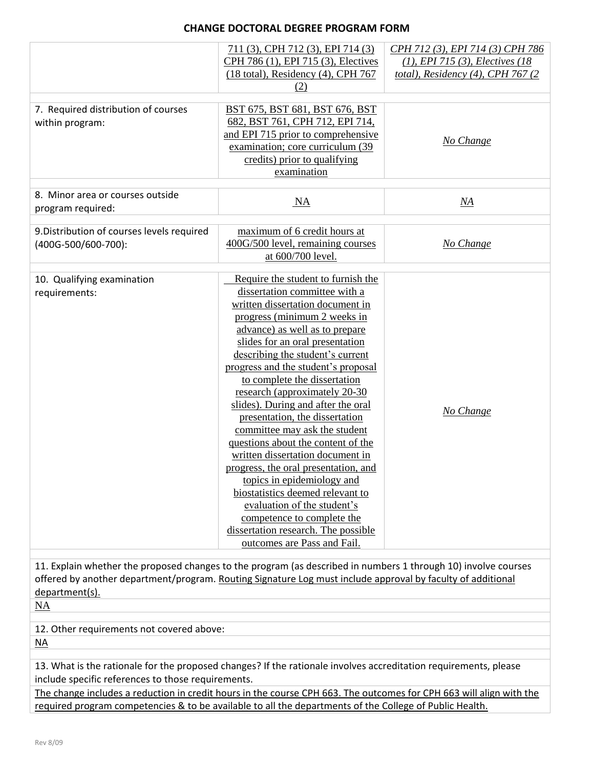## **CHANGE DOCTORAL DEGREE PROGRAM FORM**

|                                                                                                                | 711 (3), CPH 712 (3), EPI 714 (3)             | CPH 712 (3), EPI 714 (3) CPH 786    |
|----------------------------------------------------------------------------------------------------------------|-----------------------------------------------|-------------------------------------|
|                                                                                                                | CPH 786 (1), EPI 715 (3), Electives           | $(1)$ , EPI 715 (3), Electives (18) |
|                                                                                                                | $(18 \text{ total})$ , Residency (4), CPH 767 | total), Residency (4), CPH 767 (2)  |
|                                                                                                                | (2)                                           |                                     |
|                                                                                                                |                                               |                                     |
| 7. Required distribution of courses                                                                            | BST 675, BST 681, BST 676, BST                |                                     |
| within program:                                                                                                | 682, BST 761, CPH 712, EPI 714,               |                                     |
|                                                                                                                | and EPI 715 prior to comprehensive            | No Change                           |
|                                                                                                                | examination; core curriculum (39)             |                                     |
|                                                                                                                | credits) prior to qualifying                  |                                     |
|                                                                                                                | examination                                   |                                     |
| 8. Minor area or courses outside                                                                               |                                               |                                     |
|                                                                                                                | NA                                            | NA                                  |
| program required:                                                                                              |                                               |                                     |
| 9. Distribution of courses levels required                                                                     | maximum of 6 credit hours at                  |                                     |
| (400G-500/600-700):                                                                                            | 400G/500 level, remaining courses             | No Change                           |
|                                                                                                                | at 600/700 level.                             |                                     |
|                                                                                                                |                                               |                                     |
| 10. Qualifying examination                                                                                     | Require the student to furnish the            |                                     |
| requirements:                                                                                                  | dissertation committee with a                 |                                     |
|                                                                                                                | written dissertation document in              |                                     |
|                                                                                                                | progress (minimum 2 weeks in                  |                                     |
|                                                                                                                | advance) as well as to prepare                |                                     |
|                                                                                                                | slides for an oral presentation               |                                     |
|                                                                                                                | describing the student's current              |                                     |
|                                                                                                                | progress and the student's proposal           |                                     |
|                                                                                                                | to complete the dissertation                  |                                     |
|                                                                                                                | research (approximately 20-30                 |                                     |
|                                                                                                                | slides). During and after the oral            |                                     |
|                                                                                                                | presentation, the dissertation                | No Change                           |
|                                                                                                                | committee may ask the student                 |                                     |
|                                                                                                                | questions about the content of the            |                                     |
|                                                                                                                | written dissertation document in              |                                     |
|                                                                                                                | progress, the oral presentation, and          |                                     |
|                                                                                                                | topics in epidemiology and                    |                                     |
|                                                                                                                | biostatistics deemed relevant to              |                                     |
|                                                                                                                | evaluation of the student's                   |                                     |
|                                                                                                                | competence to complete the                    |                                     |
|                                                                                                                | dissertation research. The possible           |                                     |
|                                                                                                                | outcomes are Pass and Fail.                   |                                     |
|                                                                                                                |                                               |                                     |
| 11. Explain whether the proposed changes to the program (as described in numbers 1 through 10) involve courses |                                               |                                     |
| offered by another department/program. Routing Signature Log must include approval by faculty of additional    |                                               |                                     |
| department(s).                                                                                                 |                                               |                                     |
| <b>NA</b>                                                                                                      |                                               |                                     |
| 12. Other requirements not covered above:                                                                      |                                               |                                     |
|                                                                                                                |                                               |                                     |
| $N_A$                                                                                                          |                                               |                                     |

13. What is the rationale for the proposed changes? If the rationale involves accreditation requirements, please include specific references to those requirements.

The change includes a reduction in credit hours in the course CPH 663. The outcomes for CPH 663 will align with the required program competencies & to be available to all the departments of the College of Public Health.